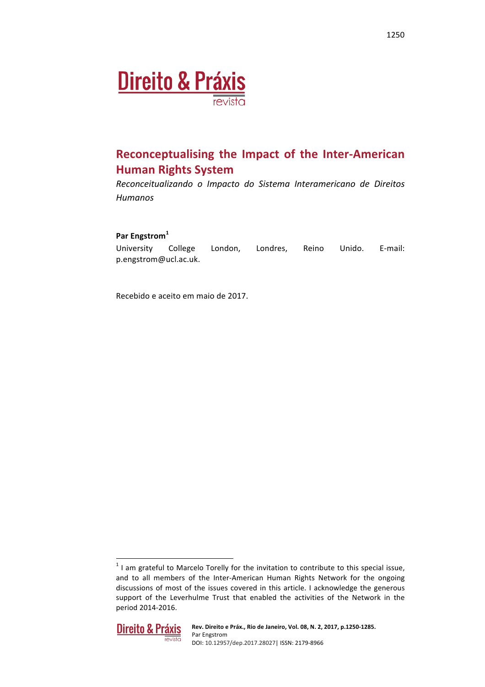

# **Reconceptualising the Impact of the Inter-American Human Rights System**

*Reconceitualizando o Impacto do Sistema Interamericano de Direitos Humanos*

### **Par Engstrom<sup>1</sup>**

University College London, Londres, Reino Unido. E-mail: p.engstrom@ucl.ac.uk.

Recebido e aceito em maio de 2017.

 $1$  I am grateful to Marcelo Torelly for the invitation to contribute to this special issue, and to all members of the Inter-American Human Rights Network for the ongoing discussions of most of the issues covered in this article. I acknowledge the generous support of the Leverhulme Trust that enabled the activities of the Network in the period 2014-2016.

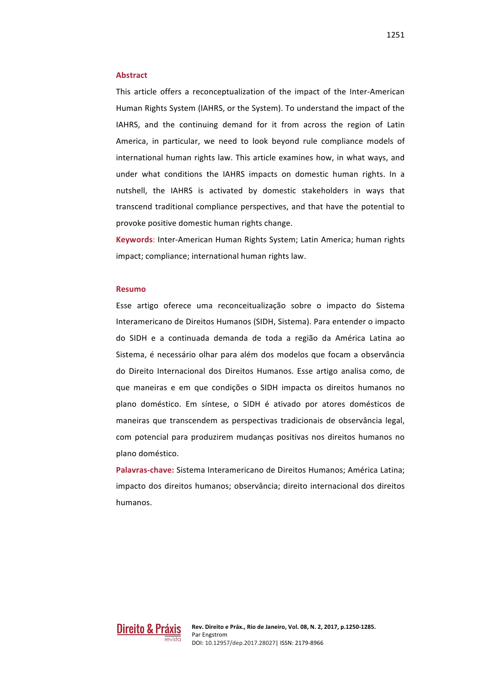#### **Abstract**

This article offers a reconceptualization of the impact of the Inter-American Human Rights System (IAHRS, or the System). To understand the impact of the IAHRS, and the continuing demand for it from across the region of Latin America, in particular, we need to look beyond rule compliance models of international human rights law. This article examines how, in what ways, and under what conditions the IAHRS impacts on domestic human rights. In a nutshell, the IAHRS is activated by domestic stakeholders in ways that transcend traditional compliance perspectives, and that have the potential to provoke positive domestic human rights change.

**Keywords:** Inter-American Human Rights System; Latin America; human rights impact; compliance; international human rights law.

#### **Resumo**

Esse artigo oferece uma reconceitualização sobre o impacto do Sistema Interamericano de Direitos Humanos (SIDH, Sistema). Para entender o impacto do SIDH e a continuada demanda de toda a região da América Latina ao Sistema, é necessário olhar para além dos modelos que focam a observância do Direito Internacional dos Direitos Humanos. Esse artigo analisa como, de que maneiras e em que condições o SIDH impacta os direitos humanos no plano doméstico. Em síntese, o SIDH é ativado por atores domésticos de maneiras que transcendem as perspectivas tradicionais de observância legal, com potencial para produzirem mudanças positivas nos direitos humanos no plano doméstico.

**Palavras-chave:** Sistema Interamericano de Direitos Humanos: América Latina: impacto dos direitos humanos; observância; direito internacional dos direitos humanos. 

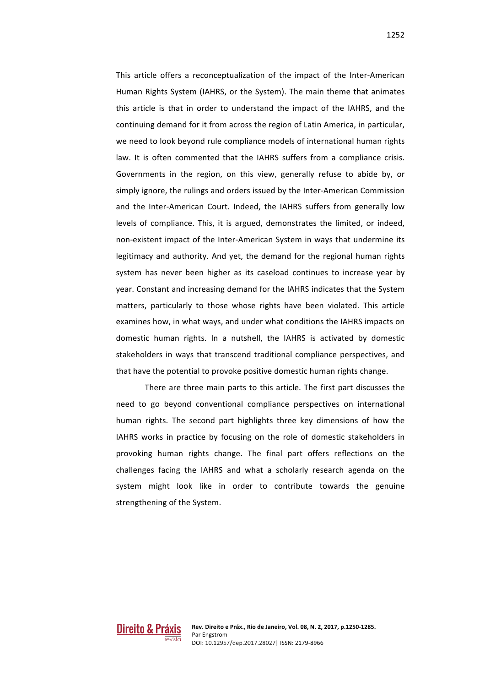1252

This article offers a reconceptualization of the impact of the Inter-American Human Rights System (IAHRS, or the System). The main theme that animates this article is that in order to understand the impact of the IAHRS, and the continuing demand for it from across the region of Latin America, in particular, we need to look beyond rule compliance models of international human rights law. It is often commented that the IAHRS suffers from a compliance crisis. Governments in the region, on this view, generally refuse to abide by, or simply ignore, the rulings and orders issued by the Inter-American Commission and the Inter-American Court. Indeed, the IAHRS suffers from generally low levels of compliance. This, it is argued, demonstrates the limited, or indeed, non-existent impact of the Inter-American System in ways that undermine its legitimacy and authority. And yet, the demand for the regional human rights system has never been higher as its caseload continues to increase year by year. Constant and increasing demand for the IAHRS indicates that the System matters, particularly to those whose rights have been violated. This article examines how, in what ways, and under what conditions the IAHRS impacts on domestic human rights. In a nutshell, the IAHRS is activated by domestic stakeholders in ways that transcend traditional compliance perspectives, and that have the potential to provoke positive domestic human rights change.

There are three main parts to this article. The first part discusses the need to go beyond conventional compliance perspectives on international human rights. The second part highlights three key dimensions of how the IAHRS works in practice by focusing on the role of domestic stakeholders in provoking human rights change. The final part offers reflections on the challenges facing the IAHRS and what a scholarly research agenda on the system might look like in order to contribute towards the genuine strengthening of the System.

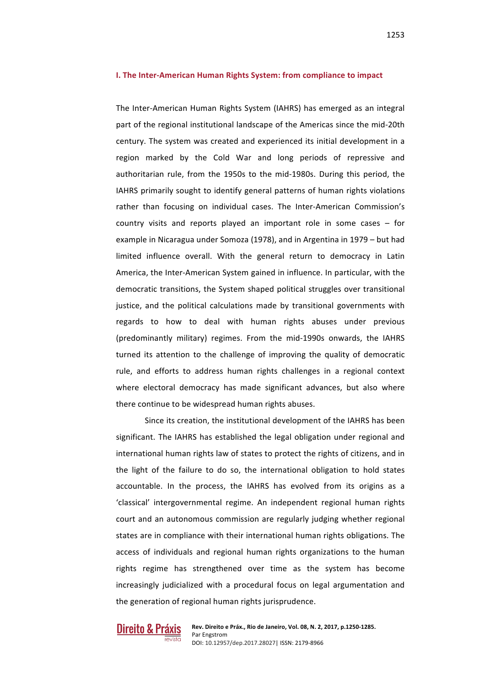The Inter-American Human Rights System (IAHRS) has emerged as an integral part of the regional institutional landscape of the Americas since the mid-20th century. The system was created and experienced its initial development in a region marked by the Cold War and long periods of repressive and authoritarian rule, from the 1950s to the mid-1980s. During this period, the IAHRS primarily sought to identify general patterns of human rights violations rather than focusing on individual cases. The Inter-American Commission's country visits and reports played an important role in some cases  $-$  for example in Nicaragua under Somoza (1978), and in Argentina in 1979 – but had limited influence overall. With the general return to democracy in Latin America, the Inter-American System gained in influence. In particular, with the democratic transitions, the System shaped political struggles over transitional justice, and the political calculations made by transitional governments with regards to how to deal with human rights abuses under previous (predominantly military) regimes. From the mid-1990s onwards, the IAHRS turned its attention to the challenge of improving the quality of democratic rule, and efforts to address human rights challenges in a regional context where electoral democracy has made significant advances, but also where there continue to be widespread human rights abuses.

Since its creation, the institutional development of the IAHRS has been significant. The IAHRS has established the legal obligation under regional and international human rights law of states to protect the rights of citizens, and in the light of the failure to do so, the international obligation to hold states accountable. In the process, the IAHRS has evolved from its origins as a 'classical' intergovernmental regime. An independent regional human rights court and an autonomous commission are regularly judging whether regional states are in compliance with their international human rights obligations. The access of individuals and regional human rights organizations to the human rights regime has strengthened over time as the system has become increasingly judicialized with a procedural focus on legal argumentation and the generation of regional human rights jurisprudence.

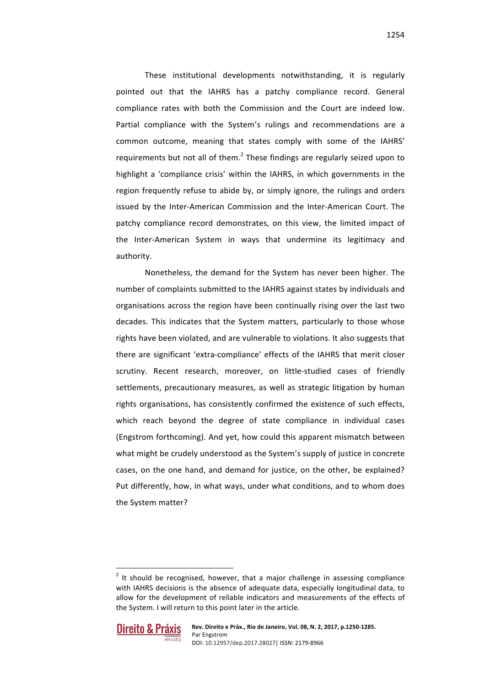These institutional developments notwithstanding, it is regularly pointed out that the IAHRS has a patchy compliance record. General compliance rates with both the Commission and the Court are indeed low. Partial compliance with the System's rulings and recommendations are a common outcome, meaning that states comply with some of the IAHRS' requirements but not all of them.<sup>2</sup> These findings are regularly seized upon to highlight a 'compliance crisis' within the IAHRS, in which governments in the region frequently refuse to abide by, or simply ignore, the rulings and orders issued by the Inter-American Commission and the Inter-American Court. The patchy compliance record demonstrates, on this view, the limited impact of the Inter-American System in ways that undermine its legitimacy and authority.

Nonetheless, the demand for the System has never been higher. The number of complaints submitted to the IAHRS against states by individuals and organisations across the region have been continually rising over the last two decades. This indicates that the System matters, particularly to those whose rights have been violated, and are vulnerable to violations. It also suggests that there are significant 'extra-compliance' effects of the IAHRS that merit closer scrutiny. Recent research, moreover, on little-studied cases of friendly settlements, precautionary measures, as well as strategic litigation by human rights organisations, has consistently confirmed the existence of such effects, which reach beyond the degree of state compliance in individual cases (Engstrom forthcoming). And yet, how could this apparent mismatch between what might be crudely understood as the System's supply of justice in concrete cases, on the one hand, and demand for justice, on the other, be explained? Put differently, how, in what ways, under what conditions, and to whom does the System matter?

 $2$  It should be recognised, however, that a major challenge in assessing compliance with IAHRS decisions is the absence of adequate data, especially longitudinal data, to allow for the development of reliable indicators and measurements of the effects of the System. I will return to this point later in the article.



1254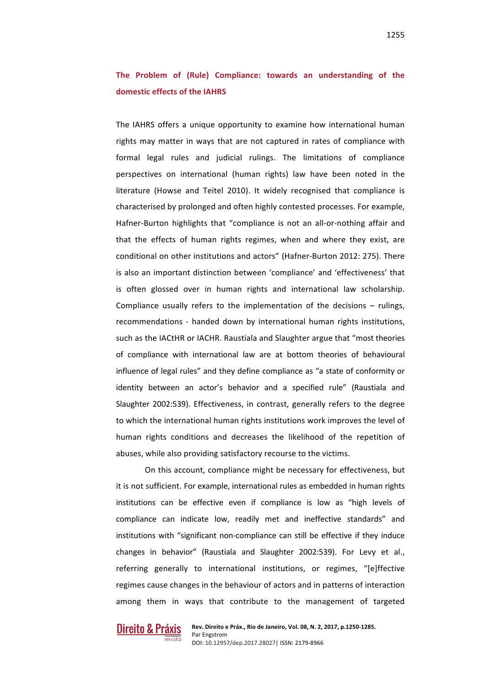## The Problem of (Rule) Compliance: towards an understanding of the **domestic effects of the IAHRS**

The IAHRS offers a unique opportunity to examine how international human rights may matter in ways that are not captured in rates of compliance with formal legal rules and judicial rulings. The limitations of compliance perspectives on international (human rights) law have been noted in the literature (Howse and Teitel 2010). It widely recognised that compliance is characterised by prolonged and often highly contested processes. For example, Hafner-Burton highlights that "compliance is not an all-or-nothing affair and that the effects of human rights regimes, when and where they exist, are conditional on other institutions and actors" (Hafner-Burton 2012: 275). There is also an important distinction between 'compliance' and 'effectiveness' that is often glossed over in human rights and international law scholarship. Compliance usually refers to the implementation of the decisions  $-$  rulings, recommendations - handed down by international human rights institutions, such as the IACtHR or IACHR. Raustiala and Slaughter argue that "most theories of compliance with international law are at bottom theories of behavioural influence of legal rules" and they define compliance as "a state of conformity or identity between an actor's behavior and a specified rule" (Raustiala and Slaughter 2002:539). Effectiveness, in contrast, generally refers to the degree to which the international human rights institutions work improves the level of human rights conditions and decreases the likelihood of the repetition of abuses, while also providing satisfactory recourse to the victims.

On this account, compliance might be necessary for effectiveness, but it is not sufficient. For example, international rules as embedded in human rights institutions can be effective even if compliance is low as "high levels of compliance can indicate low, readily met and ineffective standards" and institutions with "significant non-compliance can still be effective if they induce changes in behavior" (Raustiala and Slaughter 2002:539). For Levy et al., referring generally to international institutions, or regimes, "[e]ffective regimes cause changes in the behaviour of actors and in patterns of interaction among them in ways that contribute to the management of targeted

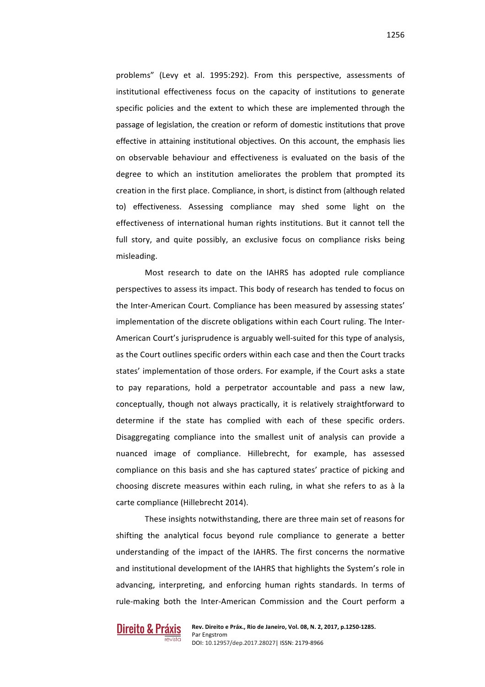1256

problems" (Levy et al. 1995:292). From this perspective, assessments of institutional effectiveness focus on the capacity of institutions to generate specific policies and the extent to which these are implemented through the passage of legislation, the creation or reform of domestic institutions that prove effective in attaining institutional objectives. On this account, the emphasis lies on observable behaviour and effectiveness is evaluated on the basis of the degree to which an institution ameliorates the problem that prompted its creation in the first place. Compliance, in short, is distinct from (although related to) effectiveness. Assessing compliance may shed some light on the effectiveness of international human rights institutions. But it cannot tell the full story, and quite possibly, an exclusive focus on compliance risks being misleading.

Most research to date on the IAHRS has adopted rule compliance perspectives to assess its impact. This body of research has tended to focus on the Inter-American Court. Compliance has been measured by assessing states' implementation of the discrete obligations within each Court ruling. The Inter-American Court's jurisprudence is arguably well-suited for this type of analysis, as the Court outlines specific orders within each case and then the Court tracks states' implementation of those orders. For example, if the Court asks a state to pay reparations, hold a perpetrator accountable and pass a new law, conceptually, though not always practically, it is relatively straightforward to determine if the state has complied with each of these specific orders. Disaggregating compliance into the smallest unit of analysis can provide a nuanced image of compliance. Hillebrecht, for example, has assessed compliance on this basis and she has captured states' practice of picking and choosing discrete measures within each ruling, in what she refers to as à la carte compliance (Hillebrecht 2014).

These insights notwithstanding, there are three main set of reasons for shifting the analytical focus beyond rule compliance to generate a better understanding of the impact of the IAHRS. The first concerns the normative and institutional development of the IAHRS that highlights the System's role in advancing, interpreting, and enforcing human rights standards. In terms of rule-making both the Inter-American Commission and the Court perform a

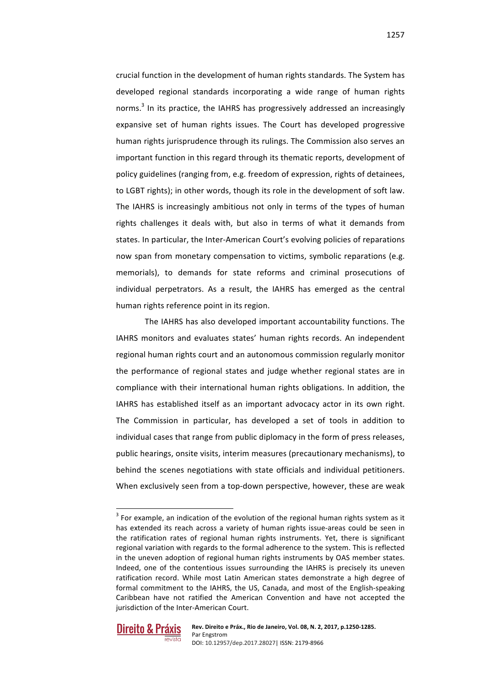crucial function in the development of human rights standards. The System has developed regional standards incorporating a wide range of human rights norms.<sup>3</sup> In its practice, the IAHRS has progressively addressed an increasingly expansive set of human rights issues. The Court has developed progressive human rights jurisprudence through its rulings. The Commission also serves an important function in this regard through its thematic reports, development of policy guidelines (ranging from, e.g. freedom of expression, rights of detainees, to LGBT rights); in other words, though its role in the development of soft law. The IAHRS is increasingly ambitious not only in terms of the types of human rights challenges it deals with, but also in terms of what it demands from states. In particular, the Inter-American Court's evolving policies of reparations now span from monetary compensation to victims, symbolic reparations (e.g. memorials), to demands for state reforms and criminal prosecutions of individual perpetrators. As a result, the IAHRS has emerged as the central human rights reference point in its region.

The IAHRS has also developed important accountability functions. The IAHRS monitors and evaluates states' human rights records. An independent regional human rights court and an autonomous commission regularly monitor the performance of regional states and judge whether regional states are in compliance with their international human rights obligations. In addition, the IAHRS has established itself as an important advocacy actor in its own right. The Commission in particular, has developed a set of tools in addition to individual cases that range from public diplomacy in the form of press releases, public hearings, onsite visits, interim measures (precautionary mechanisms), to behind the scenes negotiations with state officials and individual petitioners. When exclusively seen from a top-down perspective, however, these are weak

 $3$  For example, an indication of the evolution of the regional human rights system as it has extended its reach across a variety of human rights issue-areas could be seen in the ratification rates of regional human rights instruments. Yet, there is significant regional variation with regards to the formal adherence to the system. This is reflected in the uneven adoption of regional human rights instruments by OAS member states. Indeed, one of the contentious issues surrounding the IAHRS is precisely its uneven ratification record. While most Latin American states demonstrate a high degree of formal commitment to the IAHRS, the US, Canada, and most of the English-speaking Caribbean have not ratified the American Convention and have not accepted the jurisdiction of the Inter-American Court.

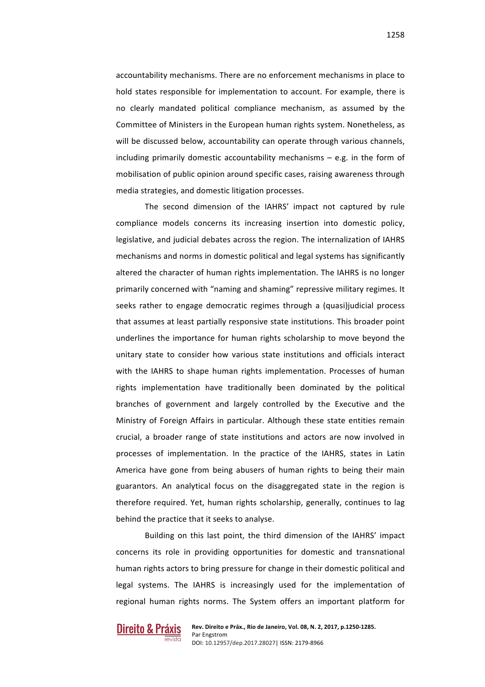accountability mechanisms. There are no enforcement mechanisms in place to hold states responsible for implementation to account. For example, there is no clearly mandated political compliance mechanism, as assumed by the Committee of Ministers in the European human rights system. Nonetheless, as will be discussed below, accountability can operate through various channels, including primarily domestic accountability mechanisms  $-$  e.g. in the form of mobilisation of public opinion around specific cases, raising awareness through media strategies, and domestic litigation processes.

The second dimension of the IAHRS' impact not captured by rule compliance models concerns its increasing insertion into domestic policy, legislative, and judicial debates across the region. The internalization of IAHRS mechanisms and norms in domestic political and legal systems has significantly altered the character of human rights implementation. The IAHRS is no longer primarily concerned with "naming and shaming" repressive military regimes. It seeks rather to engage democratic regimes through a (quasi)judicial process that assumes at least partially responsive state institutions. This broader point underlines the importance for human rights scholarship to move beyond the unitary state to consider how various state institutions and officials interact with the IAHRS to shape human rights implementation. Processes of human rights implementation have traditionally been dominated by the political branches of government and largely controlled by the Executive and the Ministry of Foreign Affairs in particular. Although these state entities remain crucial, a broader range of state institutions and actors are now involved in processes of implementation. In the practice of the IAHRS, states in Latin America have gone from being abusers of human rights to being their main guarantors. An analytical focus on the disaggregated state in the region is therefore required. Yet, human rights scholarship, generally, continues to lag behind the practice that it seeks to analyse.

Building on this last point, the third dimension of the IAHRS' impact concerns its role in providing opportunities for domestic and transnational human rights actors to bring pressure for change in their domestic political and legal systems. The IAHRS is increasingly used for the implementation of regional human rights norms. The System offers an important platform for

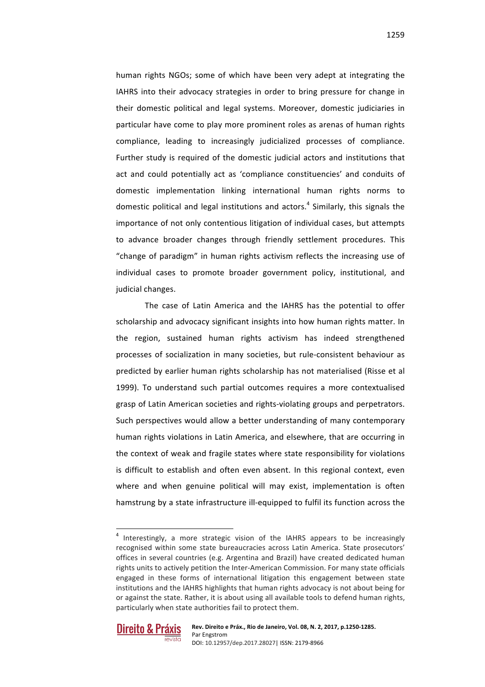human rights NGOs; some of which have been very adept at integrating the IAHRS into their advocacy strategies in order to bring pressure for change in their domestic political and legal systems. Moreover, domestic judiciaries in particular have come to play more prominent roles as arenas of human rights compliance, leading to increasingly judicialized processes of compliance. Further study is required of the domestic judicial actors and institutions that act and could potentially act as 'compliance constituencies' and conduits of domestic implementation linking international human rights norms to domestic political and legal institutions and actors.<sup>4</sup> Similarly, this signals the importance of not only contentious litigation of individual cases, but attempts to advance broader changes through friendly settlement procedures. This "change of paradigm" in human rights activism reflects the increasing use of individual cases to promote broader government policy, institutional, and

The case of Latin America and the IAHRS has the potential to offer scholarship and advocacy significant insights into how human rights matter. In the region, sustained human rights activism has indeed strengthened processes of socialization in many societies, but rule-consistent behaviour as predicted by earlier human rights scholarship has not materialised (Risse et al 1999). To understand such partial outcomes requires a more contextualised grasp of Latin American societies and rights-violating groups and perpetrators. Such perspectives would allow a better understanding of many contemporary human rights violations in Latin America, and elsewhere, that are occurring in the context of weak and fragile states where state responsibility for violations is difficult to establish and often even absent. In this regional context, even where and when genuine political will may exist, implementation is often hamstrung by a state infrastructure ill-equipped to fulfil its function across the

 $4$  Interestingly, a more strategic vision of the IAHRS appears to be increasingly recognised within some state bureaucracies across Latin America. State prosecutors' offices in several countries (e.g. Argentina and Brazil) have created dedicated human rights units to actively petition the Inter-American Commission. For many state officials engaged in these forms of international litigation this engagement between state institutions and the IAHRS highlights that human rights advocacy is not about being for or against the state. Rather, it is about using all available tools to defend human rights, particularly when state authorities fail to protect them.



judicial changes.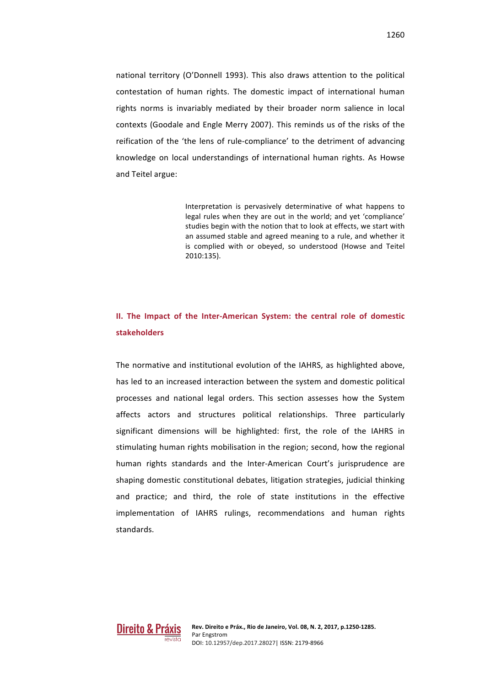national territory (O'Donnell 1993). This also draws attention to the political contestation of human rights. The domestic impact of international human rights norms is invariably mediated by their broader norm salience in local contexts (Goodale and Engle Merry 2007). This reminds us of the risks of the reification of the 'the lens of rule-compliance' to the detriment of advancing knowledge on local understandings of international human rights. As Howse and Teitel argue:

> Interpretation is pervasively determinative of what happens to legal rules when they are out in the world; and yet 'compliance' studies begin with the notion that to look at effects, we start with an assumed stable and agreed meaning to a rule, and whether it is complied with or obeyed, so understood (Howse and Teitel 2010:135).

## **II.** The Impact of the Inter-American System: the central role of domestic **stakeholders**

The normative and institutional evolution of the IAHRS, as highlighted above, has led to an increased interaction between the system and domestic political processes and national legal orders. This section assesses how the System affects actors and structures political relationships. Three particularly significant dimensions will be highlighted: first, the role of the IAHRS in stimulating human rights mobilisation in the region; second, how the regional human rights standards and the Inter-American Court's jurisprudence are shaping domestic constitutional debates, litigation strategies, judicial thinking and practice; and third, the role of state institutions in the effective implementation of IAHRS rulings, recommendations and human rights standards.

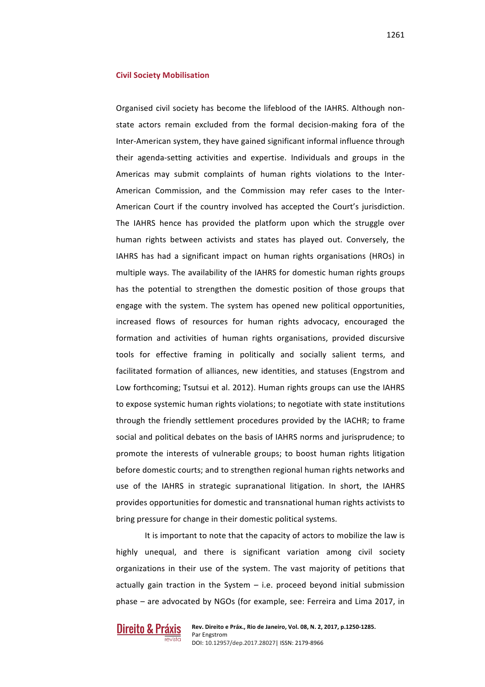#### **Civil Society Mobilisation**

Organised civil society has become the lifeblood of the IAHRS. Although nonstate actors remain excluded from the formal decision-making fora of the Inter-American system, they have gained significant informal influence through their agenda-setting activities and expertise. Individuals and groups in the Americas may submit complaints of human rights violations to the Inter-American Commission, and the Commission may refer cases to the Inter-American Court if the country involved has accepted the Court's jurisdiction. The IAHRS hence has provided the platform upon which the struggle over human rights between activists and states has played out. Conversely, the IAHRS has had a significant impact on human rights organisations (HROs) in multiple ways. The availability of the IAHRS for domestic human rights groups has the potential to strengthen the domestic position of those groups that engage with the system. The system has opened new political opportunities, increased flows of resources for human rights advocacy, encouraged the formation and activities of human rights organisations, provided discursive tools for effective framing in politically and socially salient terms, and facilitated formation of alliances, new identities, and statuses (Engstrom and Low forthcoming; Tsutsui et al. 2012). Human rights groups can use the IAHRS to expose systemic human rights violations; to negotiate with state institutions through the friendly settlement procedures provided by the IACHR; to frame social and political debates on the basis of IAHRS norms and jurisprudence; to promote the interests of vulnerable groups; to boost human rights litigation before domestic courts; and to strengthen regional human rights networks and use of the IAHRS in strategic supranational litigation. In short, the IAHRS provides opportunities for domestic and transnational human rights activists to bring pressure for change in their domestic political systems.

It is important to note that the capacity of actors to mobilize the law is highly unequal, and there is significant variation among civil society organizations in their use of the system. The vast majority of petitions that actually gain traction in the System  $-$  i.e. proceed beyond initial submission phase – are advocated by NGOs (for example, see: Ferreira and Lima 2017, in

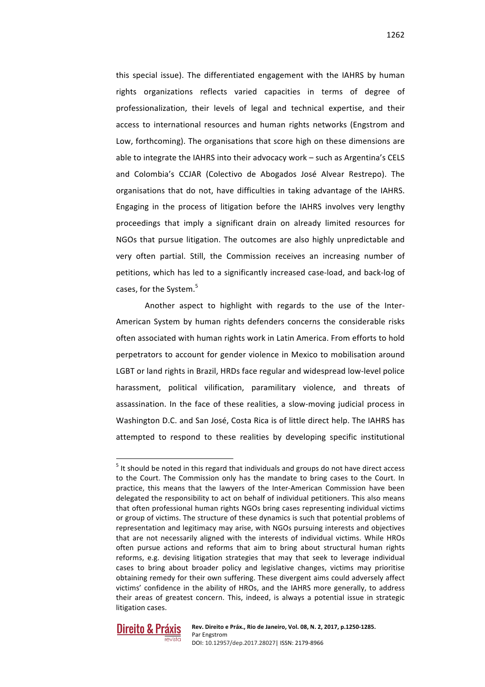this special issue). The differentiated engagement with the IAHRS by human rights organizations reflects varied capacities in terms of degree of professionalization, their levels of legal and technical expertise, and their access to international resources and human rights networks (Engstrom and Low, forthcoming). The organisations that score high on these dimensions are able to integrate the IAHRS into their advocacy work – such as Argentina's CELS and Colombia's CCJAR (Colectivo de Abogados José Alvear Restrepo). The organisations that do not, have difficulties in taking advantage of the IAHRS. Engaging in the process of litigation before the IAHRS involves very lengthy proceedings that imply a significant drain on already limited resources for NGOs that pursue litigation. The outcomes are also highly unpredictable and very often partial. Still, the Commission receives an increasing number of petitions, which has led to a significantly increased case-load, and back-log of cases, for the System.<sup>5</sup>

Another aspect to highlight with regards to the use of the Inter-American System by human rights defenders concerns the considerable risks often associated with human rights work in Latin America. From efforts to hold perpetrators to account for gender violence in Mexico to mobilisation around LGBT or land rights in Brazil, HRDs face regular and widespread low-level police harassment, political vilification, paramilitary violence, and threats of assassination. In the face of these realities, a slow-moving judicial process in Washington D.C. and San José, Costa Rica is of little direct help. The IAHRS has attempted to respond to these realities by developing specific institutional

 $<sup>5</sup>$  It should be noted in this regard that individuals and groups do not have direct access</sup> to the Court. The Commission only has the mandate to bring cases to the Court. In practice, this means that the lawyers of the Inter-American Commission have been delegated the responsibility to act on behalf of individual petitioners. This also means that often professional human rights NGOs bring cases representing individual victims or group of victims. The structure of these dynamics is such that potential problems of representation and legitimacy may arise, with NGOs pursuing interests and objectives that are not necessarily aligned with the interests of individual victims. While HROs often pursue actions and reforms that aim to bring about structural human rights reforms, e.g. devising litigation strategies that may that seek to leverage individual cases to bring about broader policy and legislative changes, victims may prioritise obtaining remedy for their own suffering. These divergent aims could adversely affect victims' confidence in the ability of HROs, and the IAHRS more generally, to address their areas of greatest concern. This, indeed, is always a potential issue in strategic litigation cases.

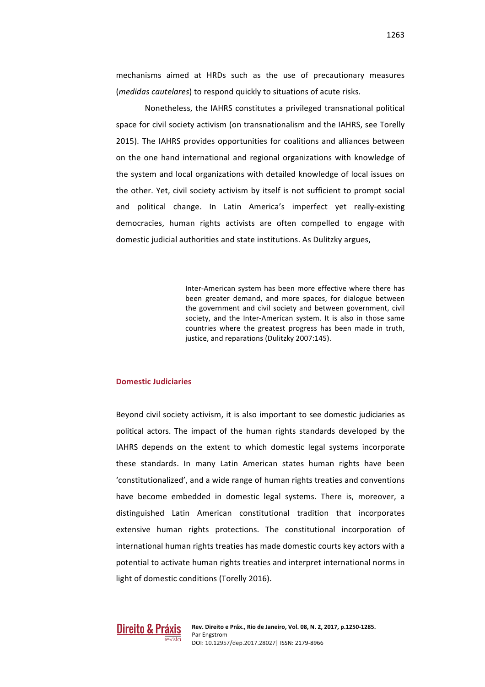mechanisms aimed at HRDs such as the use of precautionary measures (*medidas cautelares*) to respond quickly to situations of acute risks.

Nonetheless, the IAHRS constitutes a privileged transnational political space for civil society activism (on transnationalism and the IAHRS, see Torelly 2015). The IAHRS provides opportunities for coalitions and alliances between on the one hand international and regional organizations with knowledge of the system and local organizations with detailed knowledge of local issues on the other. Yet, civil society activism by itself is not sufficient to prompt social and political change. In Latin America's imperfect yet really-existing democracies, human rights activists are often compelled to engage with domestic judicial authorities and state institutions. As Dulitzky argues,

> Inter-American system has been more effective where there has been greater demand, and more spaces, for dialogue between the government and civil society and between government, civil society, and the Inter-American system. It is also in those same countries where the greatest progress has been made in truth, justice, and reparations (Dulitzky 2007:145).

#### **Domestic Judiciaries**

Beyond civil society activism, it is also important to see domestic judiciaries as political actors. The impact of the human rights standards developed by the IAHRS depends on the extent to which domestic legal systems incorporate these standards. In many Latin American states human rights have been 'constitutionalized', and a wide range of human rights treaties and conventions have become embedded in domestic legal systems. There is, moreover, a distinguished Latin American constitutional tradition that incorporates extensive human rights protections. The constitutional incorporation of international human rights treaties has made domestic courts key actors with a potential to activate human rights treaties and interpret international norms in light of domestic conditions (Torelly 2016).

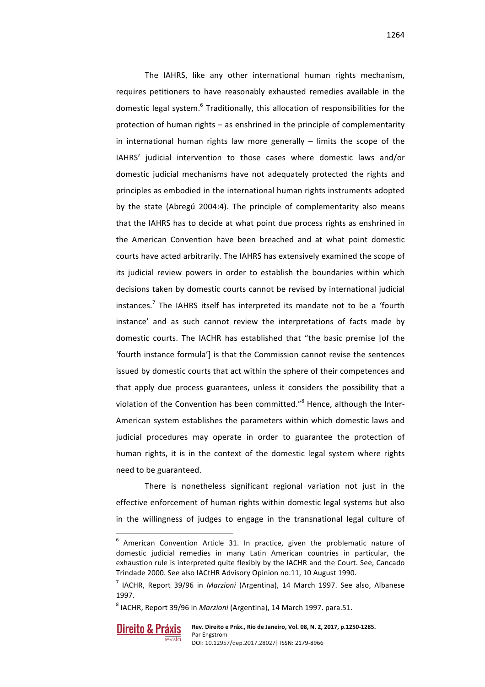The IAHRS, like any other international human rights mechanism, requires petitioners to have reasonably exhausted remedies available in the domestic legal system. $6$  Traditionally, this allocation of responsibilities for the protection of human rights  $-$  as enshrined in the principle of complementarity in international human rights law more generally  $-$  limits the scope of the IAHRS' judicial intervention to those cases where domestic laws and/or domestic judicial mechanisms have not adequately protected the rights and principles as embodied in the international human rights instruments adopted by the state (Abregú 2004:4). The principle of complementarity also means that the IAHRS has to decide at what point due process rights as enshrined in the American Convention have been breached and at what point domestic courts have acted arbitrarily. The IAHRS has extensively examined the scope of its judicial review powers in order to establish the boundaries within which decisions taken by domestic courts cannot be revised by international judicial  $in$ stances.<sup>7</sup> The IAHRS itself has interpreted its mandate not to be a 'fourth' instance' and as such cannot review the interpretations of facts made by domestic courts. The IACHR has established that "the basic premise [of the 'fourth instance formula'] is that the Commission cannot revise the sentences issued by domestic courts that act within the sphere of their competences and that apply due process guarantees, unless it considers the possibility that a violation of the Convention has been committed."<sup>8</sup> Hence, although the Inter-American system establishes the parameters within which domestic laws and judicial procedures may operate in order to guarantee the protection of human rights, it is in the context of the domestic legal system where rights need to be guaranteed.

There is nonetheless significant regional variation not just in the effective enforcement of human rights within domestic legal systems but also in the willingness of judges to engage in the transnational legal culture of

<sup>&</sup>lt;sup>8</sup> IACHR, Report 39/96 in *Marzioni* (Argentina), 14 March 1997. para.51.



 $6$  American Convention Article 31. In practice, given the problematic nature of domestic judicial remedies in many Latin American countries in particular, the exhaustion rule is interpreted quite flexibly by the IACHR and the Court. See, Cancado Trindade 2000. See also IACtHR Advisory Opinion no.11, 10 August 1990.

<sup>&</sup>lt;sup>7</sup> IACHR, Report 39/96 in *Marzioni* (Argentina), 14 March 1997. See also, Albanese 1997.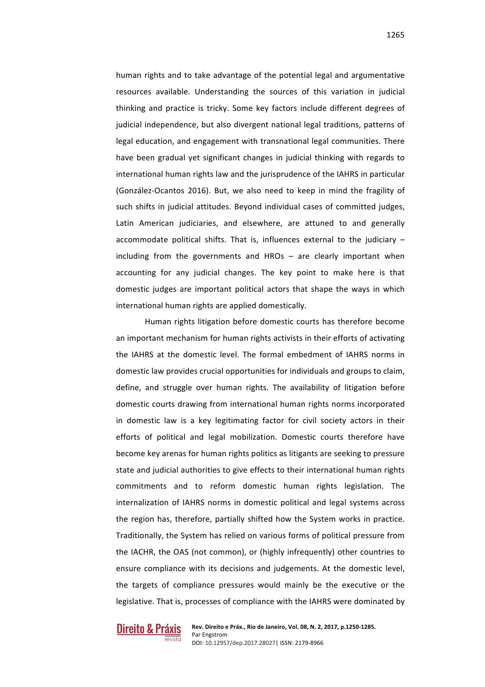human rights and to take advantage of the potential legal and argumentative resources available. Understanding the sources of this variation in judicial thinking and practice is tricky. Some key factors include different degrees of judicial independence, but also divergent national legal traditions, patterns of legal education, and engagement with transnational legal communities. There have been gradual yet significant changes in judicial thinking with regards to international human rights law and the jurisprudence of the IAHRS in particular (González-Ocantos 2016). But, we also need to keep in mind the fragility of such shifts in judicial attitudes. Beyond individual cases of committed judges, Latin American judiciaries, and elsewhere, are attuned to and generally accommodate political shifts. That is, influences external to the judiciary  $$ including from the governments and HROs  $-$  are clearly important when accounting for any judicial changes. The key point to make here is that domestic judges are important political actors that shape the ways in which international human rights are applied domestically.

Human rights litigation before domestic courts has therefore become an important mechanism for human rights activists in their efforts of activating the IAHRS at the domestic level. The formal embedment of IAHRS norms in domestic law provides crucial opportunities for individuals and groups to claim. define, and struggle over human rights. The availability of litigation before domestic courts drawing from international human rights norms incorporated in domestic law is a key legitimating factor for civil society actors in their efforts of political and legal mobilization. Domestic courts therefore have become key arenas for human rights politics as litigants are seeking to pressure state and judicial authorities to give effects to their international human rights commitments and to reform domestic human rights legislation. The internalization of IAHRS norms in domestic political and legal systems across the region has, therefore, partially shifted how the System works in practice. Traditionally, the System has relied on various forms of political pressure from the IACHR, the OAS (not common), or (highly infrequently) other countries to ensure compliance with its decisions and judgements. At the domestic level, the targets of compliance pressures would mainly be the executive or the legislative. That is, processes of compliance with the IAHRS were dominated by

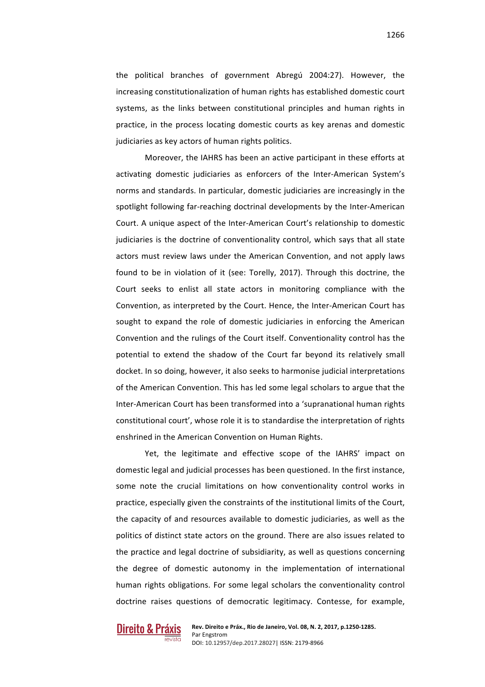the political branches of government Abregú 2004:27). However, the increasing constitutionalization of human rights has established domestic court systems, as the links between constitutional principles and human rights in practice, in the process locating domestic courts as key arenas and domestic judiciaries as key actors of human rights politics.

Moreover, the IAHRS has been an active participant in these efforts at activating domestic judiciaries as enforcers of the Inter-American System's norms and standards. In particular, domestic judiciaries are increasingly in the spotlight following far-reaching doctrinal developments by the Inter-American Court. A unique aspect of the Inter-American Court's relationship to domestic judiciaries is the doctrine of conventionality control, which says that all state actors must review laws under the American Convention, and not apply laws found to be in violation of it (see: Torelly, 2017). Through this doctrine, the Court seeks to enlist all state actors in monitoring compliance with the Convention, as interpreted by the Court. Hence, the Inter-American Court has sought to expand the role of domestic judiciaries in enforcing the American Convention and the rulings of the Court itself. Conventionality control has the potential to extend the shadow of the Court far beyond its relatively small docket. In so doing, however, it also seeks to harmonise judicial interpretations of the American Convention. This has led some legal scholars to argue that the Inter-American Court has been transformed into a 'supranational human rights constitutional court', whose role it is to standardise the interpretation of rights enshrined in the American Convention on Human Rights.

Yet, the legitimate and effective scope of the IAHRS' impact on domestic legal and judicial processes has been questioned. In the first instance, some note the crucial limitations on how conventionality control works in practice, especially given the constraints of the institutional limits of the Court, the capacity of and resources available to domestic judiciaries, as well as the politics of distinct state actors on the ground. There are also issues related to the practice and legal doctrine of subsidiarity, as well as questions concerning the degree of domestic autonomy in the implementation of international human rights obligations. For some legal scholars the conventionality control doctrine raises questions of democratic legitimacy. Contesse, for example,

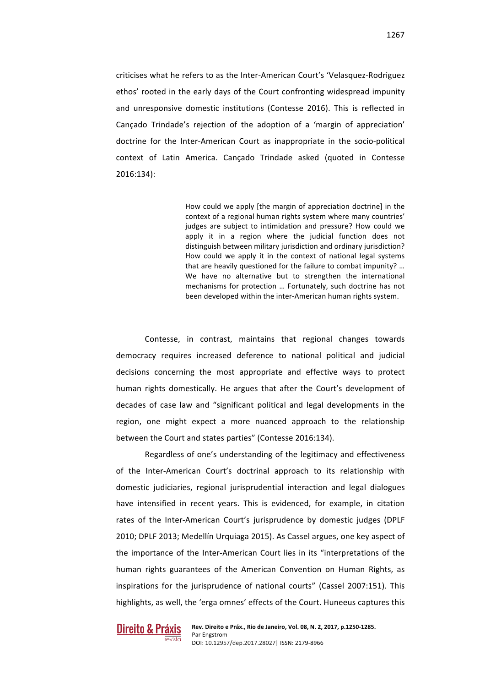criticises what he refers to as the Inter-American Court's 'Velasquez-Rodriguez ethos' rooted in the early days of the Court confronting widespread impunity and unresponsive domestic institutions (Contesse 2016). This is reflected in Cançado Trindade's rejection of the adoption of a 'margin of appreciation' doctrine for the Inter-American Court as inappropriate in the socio-political context of Latin America. Cançado Trindade asked (quoted in Contesse 2016:134):

> How could we apply [the margin of appreciation doctrine] in the context of a regional human rights system where many countries' judges are subject to intimidation and pressure? How could we apply it in a region where the judicial function does not distinguish between military jurisdiction and ordinary jurisdiction? How could we apply it in the context of national legal systems that are heavily questioned for the failure to combat impunity? ... We have no alternative but to strengthen the international mechanisms for protection ... Fortunately, such doctrine has not been developed within the inter-American human rights system.

Contesse, in contrast, maintains that regional changes towards democracy requires increased deference to national political and judicial decisions concerning the most appropriate and effective ways to protect human rights domestically. He argues that after the Court's development of decades of case law and "significant political and legal developments in the region, one might expect a more nuanced approach to the relationship between the Court and states parties" (Contesse 2016:134).

Regardless of one's understanding of the legitimacy and effectiveness of the Inter-American Court's doctrinal approach to its relationship with domestic judiciaries, regional jurisprudential interaction and legal dialogues have intensified in recent years. This is evidenced, for example, in citation rates of the Inter-American Court's jurisprudence by domestic judges (DPLF 2010; DPLF 2013; Medellín Urquiaga 2015). As Cassel argues, one key aspect of the importance of the Inter-American Court lies in its "interpretations of the human rights guarantees of the American Convention on Human Rights, as inspirations for the jurisprudence of national courts" (Cassel 2007:151). This highlights, as well, the 'erga omnes' effects of the Court. Huneeus captures this

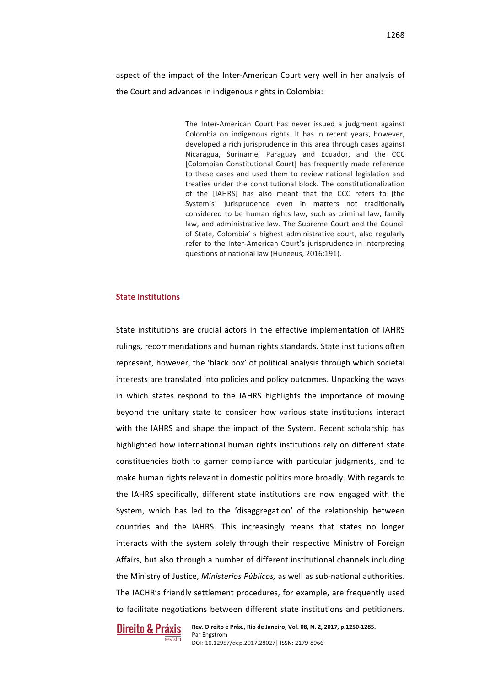aspect of the impact of the Inter-American Court very well in her analysis of the Court and advances in indigenous rights in Colombia:

> The Inter-American Court has never issued a judgment against Colombia on indigenous rights. It has in recent years, however, developed a rich jurisprudence in this area through cases against Nicaragua, Suriname, Paraguay and Ecuador, and the CCC [Colombian Constitutional Court] has frequently made reference to these cases and used them to review national legislation and treaties under the constitutional block. The constitutionalization of the [IAHRS] has also meant that the CCC refers to [the System'sl jurisprudence even in matters not traditionally considered to be human rights law, such as criminal law, family law, and administrative law. The Supreme Court and the Council of State, Colombia's highest administrative court, also regularly refer to the Inter-American Court's jurisprudence in interpreting questions of national law (Huneeus, 2016:191).

#### **State Institutions**

State institutions are crucial actors in the effective implementation of IAHRS rulings, recommendations and human rights standards. State institutions often represent, however, the 'black box' of political analysis through which societal interests are translated into policies and policy outcomes. Unpacking the ways in which states respond to the IAHRS highlights the importance of moving beyond the unitary state to consider how various state institutions interact with the IAHRS and shape the impact of the System. Recent scholarship has highlighted how international human rights institutions rely on different state constituencies both to garner compliance with particular judgments, and to make human rights relevant in domestic politics more broadly. With regards to the IAHRS specifically, different state institutions are now engaged with the System, which has led to the 'disaggregation' of the relationship between countries and the IAHRS. This increasingly means that states no longer interacts with the system solely through their respective Ministry of Foreign Affairs, but also through a number of different institutional channels including the Ministry of Justice, *Ministerios Públicos*, as well as sub-national authorities. The IACHR's friendly settlement procedures, for example, are frequently used to facilitate negotiations between different state institutions and petitioners.

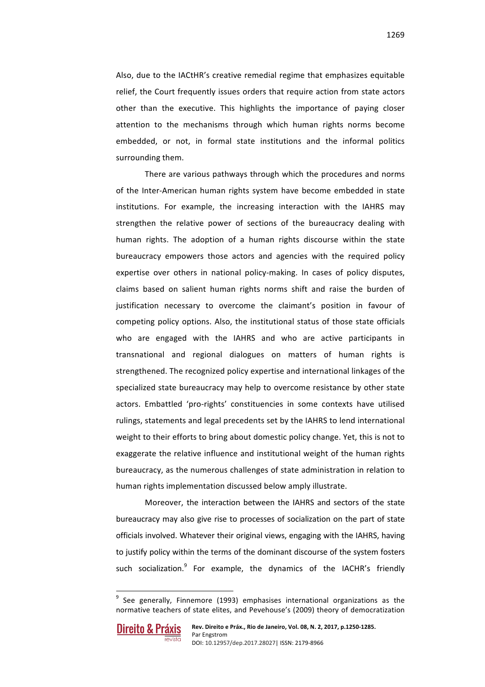Also, due to the IACtHR's creative remedial regime that emphasizes equitable relief, the Court frequently issues orders that require action from state actors other than the executive. This highlights the importance of paying closer attention to the mechanisms through which human rights norms become embedded, or not, in formal state institutions and the informal politics surrounding them.

There are various pathways through which the procedures and norms of the Inter-American human rights system have become embedded in state institutions. For example, the increasing interaction with the IAHRS may strengthen the relative power of sections of the bureaucracy dealing with human rights. The adoption of a human rights discourse within the state bureaucracy empowers those actors and agencies with the required policy expertise over others in national policy-making. In cases of policy disputes, claims based on salient human rights norms shift and raise the burden of justification necessary to overcome the claimant's position in favour of competing policy options. Also, the institutional status of those state officials who are engaged with the IAHRS and who are active participants in transnational and regional dialogues on matters of human rights is strengthened. The recognized policy expertise and international linkages of the specialized state bureaucracy may help to overcome resistance by other state actors. Embattled 'pro-rights' constituencies in some contexts have utilised rulings, statements and legal precedents set by the IAHRS to lend international weight to their efforts to bring about domestic policy change. Yet, this is not to exaggerate the relative influence and institutional weight of the human rights bureaucracy, as the numerous challenges of state administration in relation to human rights implementation discussed below amply illustrate.

Moreover, the interaction between the IAHRS and sectors of the state bureaucracy may also give rise to processes of socialization on the part of state officials involved. Whatever their original views, engaging with the IAHRS, having to justify policy within the terms of the dominant discourse of the system fosters such socialization. $9$  For example, the dynamics of the IACHR's friendly

 $9$  See generally, Finnemore (1993) emphasises international organizations as the normative teachers of state elites, and Pevehouse's (2009) theory of democratization

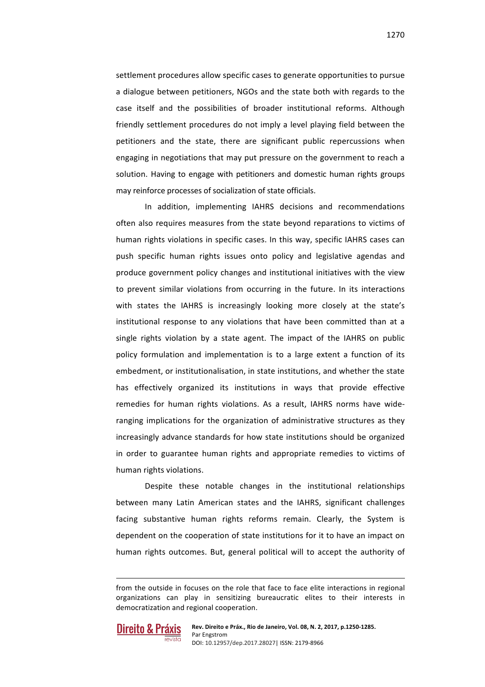1270

settlement procedures allow specific cases to generate opportunities to pursue a dialogue between petitioners, NGOs and the state both with regards to the case itself and the possibilities of broader institutional reforms. Although friendly settlement procedures do not imply a level playing field between the petitioners and the state, there are significant public repercussions when engaging in negotiations that may put pressure on the government to reach a solution. Having to engage with petitioners and domestic human rights groups may reinforce processes of socialization of state officials.

In addition, implementing IAHRS decisions and recommendations often also requires measures from the state beyond reparations to victims of human rights violations in specific cases. In this way, specific IAHRS cases can push specific human rights issues onto policy and legislative agendas and produce government policy changes and institutional initiatives with the view to prevent similar violations from occurring in the future. In its interactions with states the IAHRS is increasingly looking more closely at the state's institutional response to any violations that have been committed than at a single rights violation by a state agent. The impact of the IAHRS on public policy formulation and implementation is to a large extent a function of its embedment, or institutionalisation, in state institutions, and whether the state has effectively organized its institutions in ways that provide effective remedies for human rights violations. As a result, IAHRS norms have wideranging implications for the organization of administrative structures as they increasingly advance standards for how state institutions should be organized in order to guarantee human rights and appropriate remedies to victims of human rights violations.

Despite these notable changes in the institutional relationships between many Latin American states and the IAHRS, significant challenges facing substantive human rights reforms remain. Clearly, the System is dependent on the cooperation of state institutions for it to have an impact on human rights outcomes. But, general political will to accept the authority of

<u> Alexandria de la contrada de la contrada de la contrada de la contrada de la contrada de la contrada de la c</u>



from the outside in focuses on the role that face to face elite interactions in regional organizations can play in sensitizing bureaucratic elites to their interests in democratization and regional cooperation.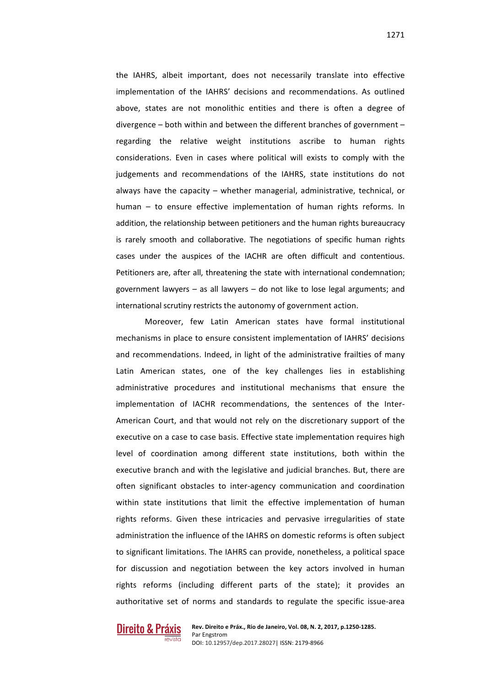the IAHRS, albeit important, does not necessarily translate into effective implementation of the IAHRS' decisions and recommendations. As outlined above, states are not monolithic entities and there is often a degree of divergence  $-$  both within and between the different branches of government  $$ regarding the relative weight institutions ascribe to human rights considerations. Even in cases where political will exists to comply with the judgements and recommendations of the IAHRS, state institutions do not always have the capacity  $-$  whether managerial, administrative, technical, or human  $-$  to ensure effective implementation of human rights reforms. In addition, the relationship between petitioners and the human rights bureaucracy is rarely smooth and collaborative. The negotiations of specific human rights cases under the auspices of the IACHR are often difficult and contentious. Petitioners are, after all, threatening the state with international condemnation; government lawyers  $-$  as all lawyers  $-$  do not like to lose legal arguments; and international scrutiny restricts the autonomy of government action.

Moreover, few Latin American states have formal institutional mechanisms in place to ensure consistent implementation of IAHRS' decisions and recommendations. Indeed, in light of the administrative frailties of many Latin American states, one of the key challenges lies in establishing administrative procedures and institutional mechanisms that ensure the implementation of IACHR recommendations, the sentences of the Inter-American Court, and that would not rely on the discretionary support of the executive on a case to case basis. Effective state implementation requires high level of coordination among different state institutions, both within the executive branch and with the legislative and judicial branches. But, there are often significant obstacles to inter-agency communication and coordination within state institutions that limit the effective implementation of human rights reforms. Given these intricacies and pervasive irregularities of state administration the influence of the IAHRS on domestic reforms is often subject to significant limitations. The IAHRS can provide, nonetheless, a political space for discussion and negotiation between the key actors involved in human rights reforms (including different parts of the state); it provides an authoritative set of norms and standards to regulate the specific issue-area

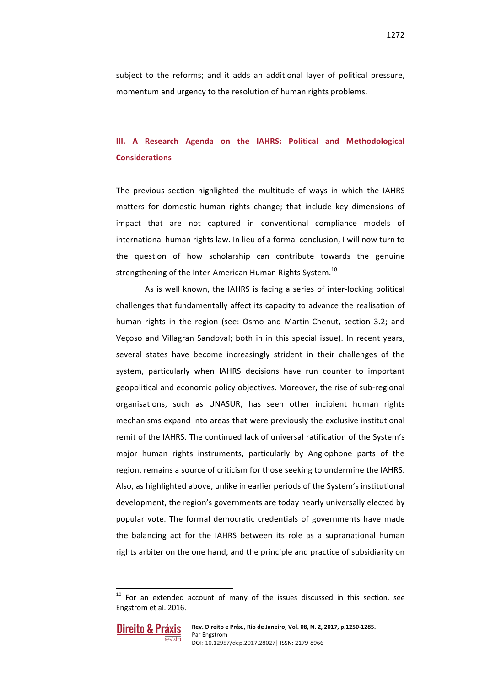subject to the reforms; and it adds an additional layer of political pressure, momentum and urgency to the resolution of human rights problems.

## **III. A Research Agenda on the IAHRS: Political and Methodological Considerations**

The previous section highlighted the multitude of ways in which the IAHRS matters for domestic human rights change; that include key dimensions of impact that are not captured in conventional compliance models of international human rights law. In lieu of a formal conclusion, I will now turn to the question of how scholarship can contribute towards the genuine strengthening of the Inter-American Human Rights System.<sup>10</sup>

As is well known, the IAHRS is facing a series of inter-locking political challenges that fundamentally affect its capacity to advance the realisation of human rights in the region (see: Osmo and Martin-Chenut, section 3.2; and Veçoso and Villagran Sandoval; both in in this special issue). In recent years, several states have become increasingly strident in their challenges of the system, particularly when IAHRS decisions have run counter to important geopolitical and economic policy objectives. Moreover, the rise of sub-regional organisations, such as UNASUR, has seen other incipient human rights mechanisms expand into areas that were previously the exclusive institutional remit of the IAHRS. The continued lack of universal ratification of the System's major human rights instruments, particularly by Anglophone parts of the region, remains a source of criticism for those seeking to undermine the IAHRS. Also, as highlighted above, unlike in earlier periods of the System's institutional development, the region's governments are today nearly universally elected by popular vote. The formal democratic credentials of governments have made the balancing act for the IAHRS between its role as a supranational human rights arbiter on the one hand, and the principle and practice of subsidiarity on

 $10$  For an extended account of many of the issues discussed in this section, see Engstrom et al. 2016.

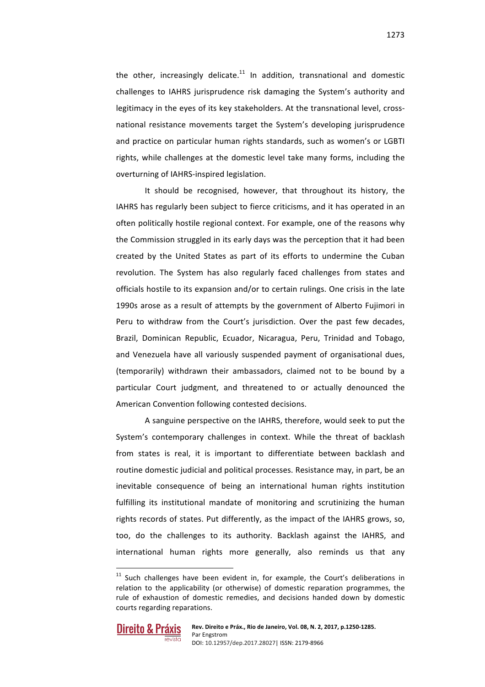the other, increasingly delicate.<sup>11</sup> In addition, transnational and domestic challenges to IAHRS jurisprudence risk damaging the System's authority and legitimacy in the eyes of its key stakeholders. At the transnational level, crossnational resistance movements target the System's developing jurisprudence and practice on particular human rights standards, such as women's or LGBTI rights, while challenges at the domestic level take many forms, including the overturning of IAHRS-inspired legislation.

It should be recognised, however, that throughout its history, the IAHRS has regularly been subject to fierce criticisms, and it has operated in an often politically hostile regional context. For example, one of the reasons why the Commission struggled in its early days was the perception that it had been created by the United States as part of its efforts to undermine the Cuban revolution. The System has also regularly faced challenges from states and officials hostile to its expansion and/or to certain rulings. One crisis in the late 1990s arose as a result of attempts by the government of Alberto Fujimori in Peru to withdraw from the Court's jurisdiction. Over the past few decades, Brazil, Dominican Republic, Ecuador, Nicaragua, Peru, Trinidad and Tobago, and Venezuela have all variously suspended payment of organisational dues, (temporarily) withdrawn their ambassadors, claimed not to be bound by a particular Court judgment, and threatened to or actually denounced the American Convention following contested decisions.

A sanguine perspective on the IAHRS, therefore, would seek to put the System's contemporary challenges in context. While the threat of backlash from states is real, it is important to differentiate between backlash and routine domestic judicial and political processes. Resistance may, in part, be an inevitable consequence of being an international human rights institution fulfilling its institutional mandate of monitoring and scrutinizing the human rights records of states. Put differently, as the impact of the IAHRS grows, so, too, do the challenges to its authority. Backlash against the IAHRS, and international human rights more generally, also reminds us that any

 $11$  Such challenges have been evident in, for example, the Court's deliberations in relation to the applicability (or otherwise) of domestic reparation programmes, the rule of exhaustion of domestic remedies, and decisions handed down by domestic courts regarding reparations.

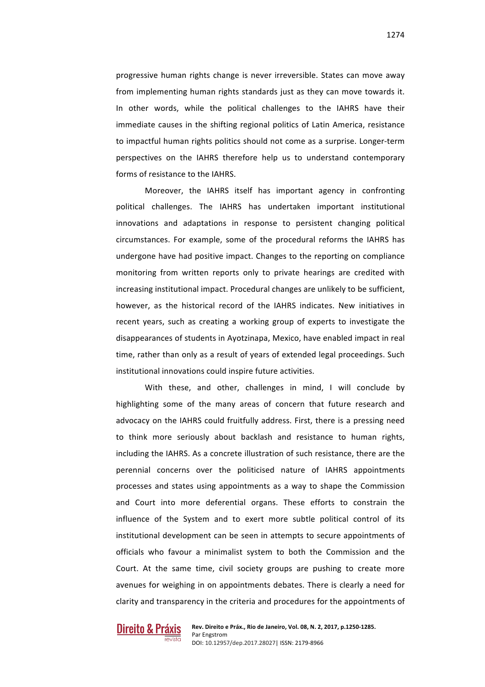progressive human rights change is never irreversible. States can move away from implementing human rights standards just as they can move towards it. In other words, while the political challenges to the IAHRS have their immediate causes in the shifting regional politics of Latin America, resistance to impactful human rights politics should not come as a surprise. Longer-term perspectives on the IAHRS therefore help us to understand contemporary forms of resistance to the IAHRS.

Moreover, the IAHRS itself has important agency in confronting political challenges. The IAHRS has undertaken important institutional innovations and adaptations in response to persistent changing political circumstances. For example, some of the procedural reforms the IAHRS has undergone have had positive impact. Changes to the reporting on compliance monitoring from written reports only to private hearings are credited with increasing institutional impact. Procedural changes are unlikely to be sufficient, however, as the historical record of the IAHRS indicates. New initiatives in recent years, such as creating a working group of experts to investigate the disappearances of students in Ayotzinapa, Mexico, have enabled impact in real time, rather than only as a result of years of extended legal proceedings. Such institutional innovations could inspire future activities.

With these, and other, challenges in mind, I will conclude by highlighting some of the many areas of concern that future research and advocacy on the IAHRS could fruitfully address. First, there is a pressing need to think more seriously about backlash and resistance to human rights, including the IAHRS. As a concrete illustration of such resistance, there are the perennial concerns over the politicised nature of IAHRS appointments processes and states using appointments as a way to shape the Commission and Court into more deferential organs. These efforts to constrain the influence of the System and to exert more subtle political control of its institutional development can be seen in attempts to secure appointments of officials who favour a minimalist system to both the Commission and the Court. At the same time, civil society groups are pushing to create more avenues for weighing in on appointments debates. There is clearly a need for clarity and transparency in the criteria and procedures for the appointments of

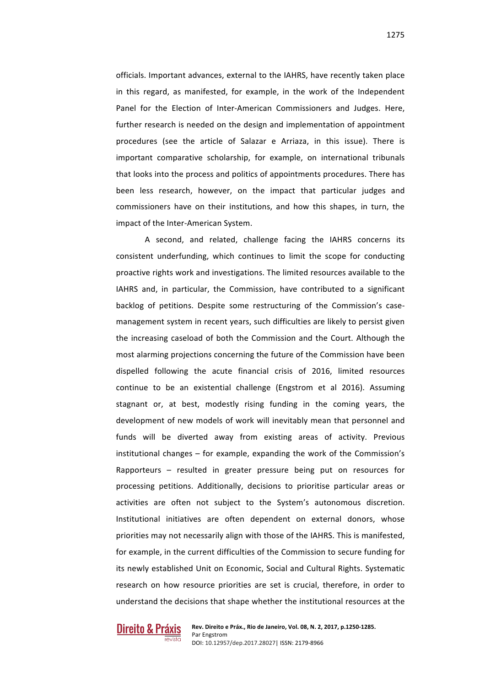officials. Important advances, external to the IAHRS, have recently taken place in this regard, as manifested, for example, in the work of the Independent Panel for the Election of Inter-American Commissioners and Judges. Here, further research is needed on the design and implementation of appointment procedures (see the article of Salazar e Arriaza, in this issue). There is important comparative scholarship, for example, on international tribunals that looks into the process and politics of appointments procedures. There has been less research, however, on the impact that particular judges and commissioners have on their institutions, and how this shapes, in turn, the impact of the Inter-American System.

A second, and related, challenge facing the IAHRS concerns its consistent underfunding, which continues to limit the scope for conducting proactive rights work and investigations. The limited resources available to the IAHRS and, in particular, the Commission, have contributed to a significant backlog of petitions. Despite some restructuring of the Commission's casemanagement system in recent years, such difficulties are likely to persist given the increasing caseload of both the Commission and the Court. Although the most alarming projections concerning the future of the Commission have been dispelled following the acute financial crisis of 2016, limited resources continue to be an existential challenge (Engstrom et al 2016). Assuming stagnant or, at best, modestly rising funding in the coming years, the development of new models of work will inevitably mean that personnel and funds will be diverted away from existing areas of activity. Previous institutional changes  $-$  for example, expanding the work of the Commission's Rapporteurs  $-$  resulted in greater pressure being put on resources for processing petitions. Additionally, decisions to prioritise particular areas or activities are often not subject to the System's autonomous discretion. Institutional initiatives are often dependent on external donors, whose priorities may not necessarily align with those of the IAHRS. This is manifested, for example, in the current difficulties of the Commission to secure funding for its newly established Unit on Economic, Social and Cultural Rights. Systematic research on how resource priorities are set is crucial, therefore, in order to understand the decisions that shape whether the institutional resources at the

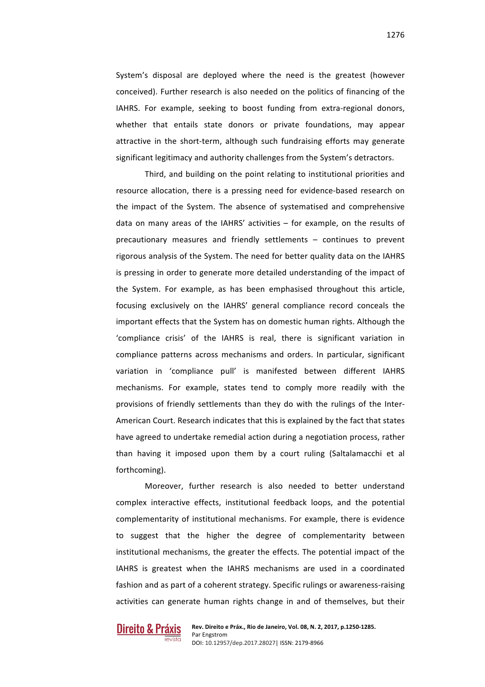System's disposal are deployed where the need is the greatest (however conceived). Further research is also needed on the politics of financing of the IAHRS. For example, seeking to boost funding from extra-regional donors, whether that entails state donors or private foundations, may appear attractive in the short-term, although such fundraising efforts may generate significant legitimacy and authority challenges from the System's detractors.

Third, and building on the point relating to institutional priorities and resource allocation, there is a pressing need for evidence-based research on the impact of the System. The absence of systematised and comprehensive data on many areas of the IAHRS' activities  $-$  for example, on the results of precautionary measures and friendly settlements  $-$  continues to prevent rigorous analysis of the System. The need for better quality data on the IAHRS is pressing in order to generate more detailed understanding of the impact of the System. For example, as has been emphasised throughout this article, focusing exclusively on the IAHRS' general compliance record conceals the important effects that the System has on domestic human rights. Although the 'compliance crisis' of the IAHRS is real, there is significant variation in compliance patterns across mechanisms and orders. In particular, significant variation in 'compliance pull' is manifested between different IAHRS mechanisms. For example, states tend to comply more readily with the provisions of friendly settlements than they do with the rulings of the Inter-American Court. Research indicates that this is explained by the fact that states have agreed to undertake remedial action during a negotiation process, rather than having it imposed upon them by a court ruling (Saltalamacchi et al forthcoming).

Moreover, further research is also needed to better understand complex interactive effects, institutional feedback loops, and the potential complementarity of institutional mechanisms. For example, there is evidence to suggest that the higher the degree of complementarity between institutional mechanisms, the greater the effects. The potential impact of the IAHRS is greatest when the IAHRS mechanisms are used in a coordinated fashion and as part of a coherent strategy. Specific rulings or awareness-raising activities can generate human rights change in and of themselves, but their

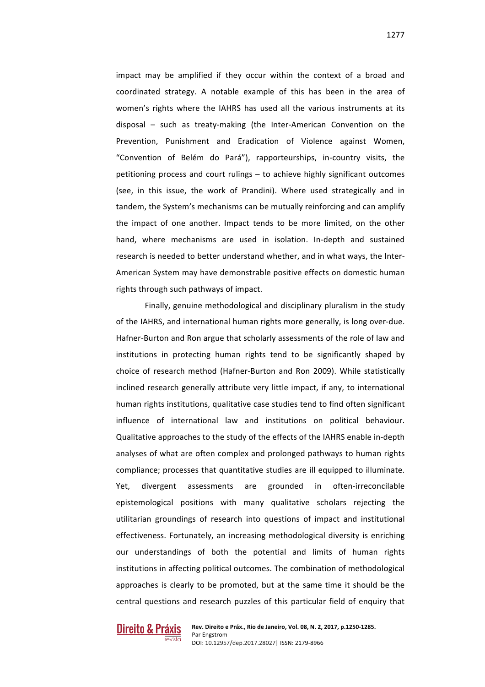impact may be amplified if they occur within the context of a broad and coordinated strategy. A notable example of this has been in the area of women's rights where the IAHRS has used all the various instruments at its disposal – such as treaty-making (the Inter-American Convention on the Prevention, Punishment and Eradication of Violence against Women, "Convention of Belém do Pará"), rapporteurships, in-country visits, the petitioning process and court rulings  $-$  to achieve highly significant outcomes (see, in this issue, the work of Prandini). Where used strategically and in tandem, the System's mechanisms can be mutually reinforcing and can amplify the impact of one another. Impact tends to be more limited, on the other hand, where mechanisms are used in isolation. In-depth and sustained research is needed to better understand whether, and in what ways, the Inter-American System may have demonstrable positive effects on domestic human rights through such pathways of impact.

Finally, genuine methodological and disciplinary pluralism in the study of the IAHRS, and international human rights more generally, is long over-due. Hafner-Burton and Ron argue that scholarly assessments of the role of law and institutions in protecting human rights tend to be significantly shaped by choice of research method (Hafner-Burton and Ron 2009). While statistically inclined research generally attribute very little impact, if any, to international human rights institutions, qualitative case studies tend to find often significant influence of international law and institutions on political behaviour. Qualitative approaches to the study of the effects of the IAHRS enable in-depth analyses of what are often complex and prolonged pathways to human rights compliance; processes that quantitative studies are ill equipped to illuminate. Yet, divergent assessments are grounded in often-irreconcilable epistemological positions with many qualitative scholars rejecting the utilitarian groundings of research into questions of impact and institutional effectiveness. Fortunately, an increasing methodological diversity is enriching our understandings of both the potential and limits of human rights institutions in affecting political outcomes. The combination of methodological approaches is clearly to be promoted, but at the same time it should be the central questions and research puzzles of this particular field of enquiry that

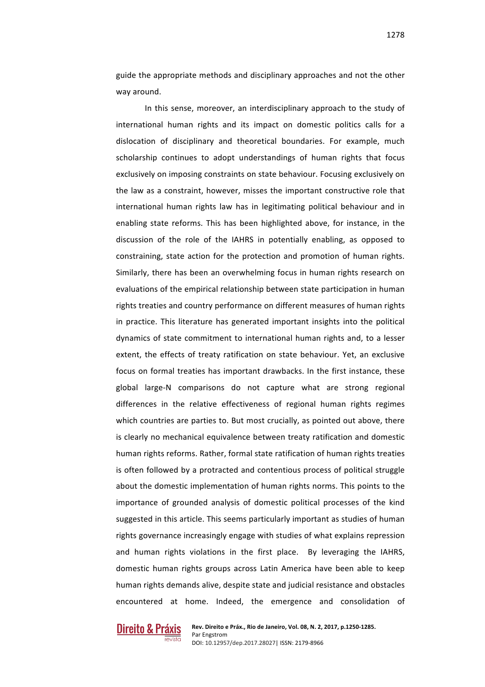guide the appropriate methods and disciplinary approaches and not the other way around.

In this sense, moreover, an interdisciplinary approach to the study of international human rights and its impact on domestic politics calls for a dislocation of disciplinary and theoretical boundaries. For example, much scholarship continues to adopt understandings of human rights that focus exclusively on imposing constraints on state behaviour. Focusing exclusively on the law as a constraint, however, misses the important constructive role that international human rights law has in legitimating political behaviour and in enabling state reforms. This has been highlighted above, for instance, in the discussion of the role of the IAHRS in potentially enabling, as opposed to constraining, state action for the protection and promotion of human rights. Similarly, there has been an overwhelming focus in human rights research on evaluations of the empirical relationship between state participation in human rights treaties and country performance on different measures of human rights in practice. This literature has generated important insights into the political dynamics of state commitment to international human rights and, to a lesser extent, the effects of treaty ratification on state behaviour. Yet, an exclusive focus on formal treaties has important drawbacks. In the first instance, these global large-N comparisons do not capture what are strong regional differences in the relative effectiveness of regional human rights regimes which countries are parties to. But most crucially, as pointed out above, there is clearly no mechanical equivalence between treaty ratification and domestic human rights reforms. Rather, formal state ratification of human rights treaties is often followed by a protracted and contentious process of political struggle about the domestic implementation of human rights norms. This points to the importance of grounded analysis of domestic political processes of the kind suggested in this article. This seems particularly important as studies of human rights governance increasingly engage with studies of what explains repression and human rights violations in the first place. By leveraging the IAHRS, domestic human rights groups across Latin America have been able to keep human rights demands alive, despite state and judicial resistance and obstacles encountered at home. Indeed, the emergence and consolidation of

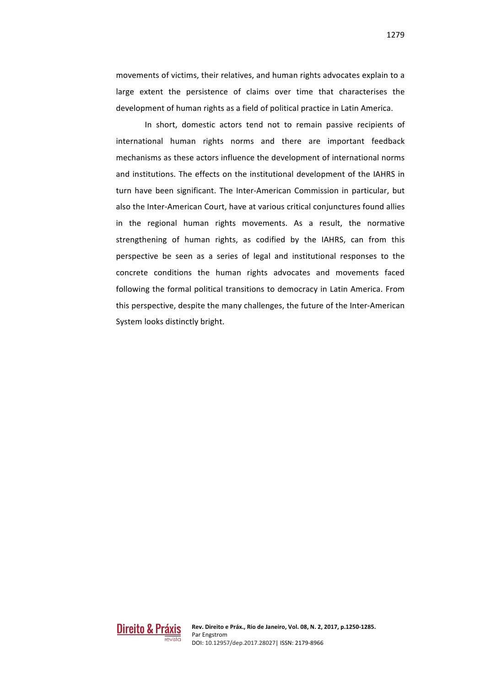movements of victims, their relatives, and human rights advocates explain to a large extent the persistence of claims over time that characterises the development of human rights as a field of political practice in Latin America.

In short, domestic actors tend not to remain passive recipients of international human rights norms and there are important feedback mechanisms as these actors influence the development of international norms and institutions. The effects on the institutional development of the IAHRS in turn have been significant. The Inter-American Commission in particular, but also the Inter-American Court, have at various critical conjunctures found allies in the regional human rights movements. As a result, the normative strengthening of human rights, as codified by the IAHRS, can from this perspective be seen as a series of legal and institutional responses to the concrete conditions the human rights advocates and movements faced following the formal political transitions to democracy in Latin America. From this perspective, despite the many challenges, the future of the Inter-American System looks distinctly bright.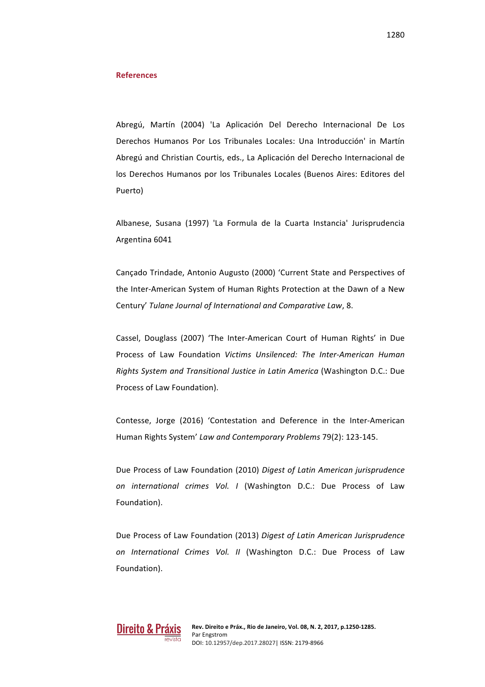#### **References**

Abregú, Martín (2004) 'La Aplicación Del Derecho Internacional De Los Derechos Humanos Por Los Tribunales Locales: Una Introducción' in Martín Abregú and Christian Courtis, eds., La Aplicación del Derecho Internacional de los Derechos Humanos por los Tribunales Locales (Buenos Aires: Editores del Puerto)

Albanese, Susana (1997) 'La Formula de la Cuarta Instancia' Jurisprudencia Argentina 6041 

Cançado Trindade, Antonio Augusto (2000) 'Current State and Perspectives of the Inter-American System of Human Rights Protection at the Dawn of a New Century' Tulane Journal of International and Comparative Law, 8.

Cassel, Douglass (2007) 'The Inter-American Court of Human Rights' in Due Process of Law Foundation *Victims Unsilenced: The Inter-American Human Rights System and Transitional Justice in Latin America* (Washington D.C.: Due Process of Law Foundation).

Contesse, Jorge (2016) 'Contestation and Deference in the Inter-American Human Rights System' Law and Contemporary Problems 79(2): 123-145.

Due Process of Law Foundation (2010) Digest of Latin American jurisprudence *on international crimes Vol. I* (Washington D.C.: Due Process of Law Foundation).

Due Process of Law Foundation (2013) *Digest of Latin American Jurisprudence on International Crimes Vol. II* (Washington D.C.: Due Process of Law Foundation).

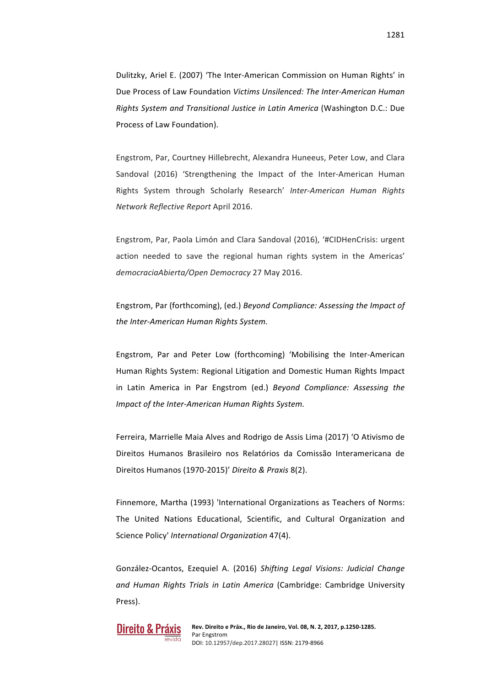Dulitzky, Ariel E. (2007) 'The Inter-American Commission on Human Rights' in Due Process of Law Foundation *Victims Unsilenced: The Inter-American Human Rights System and Transitional Justice in Latin America* (Washington D.C.: Due Process of Law Foundation).

Engstrom, Par, Courtney Hillebrecht, Alexandra Huneeus, Peter Low, and Clara Sandoval (2016) 'Strengthening the Impact of the Inter-American Human Rights System through Scholarly Research' Inter-American Human Rights *Network Reflective Report* April 2016.

Engstrom, Par, Paola Limón and Clara Sandoval (2016), '#CIDHenCrisis: urgent action needed to save the regional human rights system in the Americas' *democraciaAbierta/Open Democracy* 27 May 2016.

Engstrom, Par (forthcoming), (ed.) Beyond Compliance: Assessing the Impact of the Inter-American Human Rights System.

Engstrom, Par and Peter Low (forthcoming) 'Mobilising the Inter-American Human Rights System: Regional Litigation and Domestic Human Rights Impact in Latin America in Par Engstrom (ed.) *Beyond Compliance:* Assessing the *Impact of the Inter-American Human Rights System.* 

Ferreira, Marrielle Maia Alves and Rodrigo de Assis Lima (2017) 'O Ativismo de Direitos Humanos Brasileiro nos Relatórios da Comissão Interamericana de Direitos Humanos (1970-2015)' *Direito & Praxis* 8(2).

Finnemore, Martha (1993) 'International Organizations as Teachers of Norms: The United Nations Educational, Scientific, and Cultural Organization and Science Policy' *International Organization* 47(4).

González-Ocantos, Ezequiel A. (2016) Shifting Legal Visions: Judicial Change and Human Rights Trials in Latin America (Cambridge: Cambridge University Press).

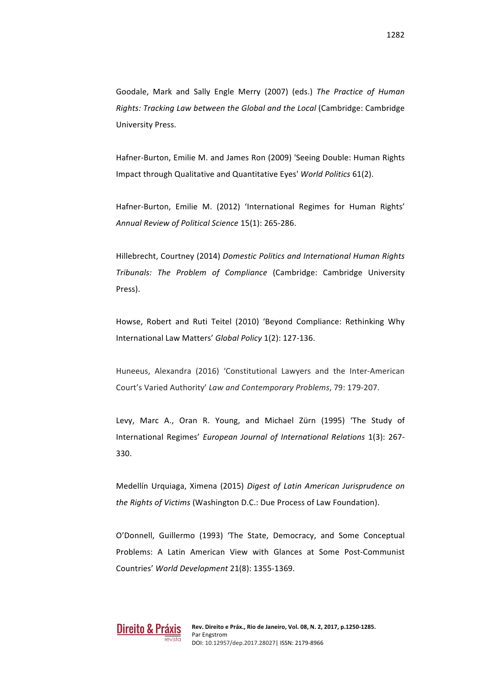Goodale, Mark and Sally Engle Merry (2007) (eds.) The Practice of Human *Rights: Tracking Law between the Global and the Local* (Cambridge: Cambridge University Press.

Hafner-Burton, Emilie M. and James Ron (2009) 'Seeing Double: Human Rights Impact through Qualitative and Quantitative Eyes' *World Politics* 61(2).

Hafner-Burton, Emilie M. (2012) 'International Regimes for Human Rights' *Annual Review of Political Science* 15(1): 265-286.

Hillebrecht, Courtney (2014) *Domestic Politics and International Human Rights Tribunals: The Problem of Compliance* (Cambridge: Cambridge University Press).

Howse, Robert and Ruti Teitel (2010) 'Beyond Compliance: Rethinking Why International Law Matters' Global Policy 1(2): 127-136.

Huneeus, Alexandra (2016) 'Constitutional Lawyers and the Inter-American Court's Varied Authority' Law and Contemporary Problems, 79: 179-207.

Levy, Marc A., Oran R. Young, and Michael Zürn (1995) 'The Study of International Regimes' *European Journal of International Relations* 1(3): 267- 330.

Medellín Urquiaga, Ximena (2015) Digest of Latin American Jurisprudence on *the Rights of Victims* (Washington D.C.: Due Process of Law Foundation).

O'Donnell, Guillermo (1993) 'The State, Democracy, and Some Conceptual Problems: A Latin American View with Glances at Some Post-Communist Countries' *World Development* 21(8): 1355-1369.

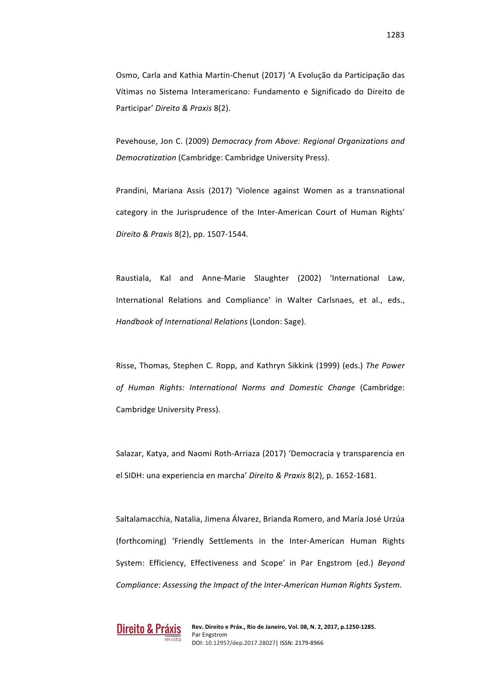Osmo, Carla and Kathia Martin-Chenut (2017) 'A Evolução da Participação das Vítimas no Sistema Interamericano: Fundamento e Significado do Direito de Participar' *Direito & Praxis* 8(2).

Pevehouse, Jon C. (2009) Democracy from Above: Regional Organizations and *Democratization* (Cambridge: Cambridge University Press).

Prandini, Mariana Assis (2017) 'Violence against Women as a transnational category in the Jurisprudence of the Inter-American Court of Human Rights' *Direito & Praxis* 8(2), pp. 1507-1544.

Raustiala, Kal and Anne-Marie Slaughter (2002) 'International Law, International Relations and Compliance' in Walter Carlsnaes, et al., eds., *Handbook of International Relations* (London: Sage).

Risse, Thomas, Stephen C. Ropp, and Kathryn Sikkink (1999) (eds.) The Power of Human Rights: International Norms and Domestic Change (Cambridge: Cambridge University Press).

Salazar, Katya, and Naomi Roth-Arriaza (2017) 'Democracia y transparencia en el SIDH: una experiencia en marcha' Direito & Praxis 8(2), p. 1652-1681.

Saltalamacchia, Natalia, Jimena Álvarez, Brianda Romero, and María José Urzúa (forthcoming) 'Friendly Settlements in the Inter-American Human Rights System: Efficiency, Effectiveness and Scope' in Par Engstrom (ed.) *Beyond Compliance: Assessing the Impact of the Inter-American Human Rights System.* 

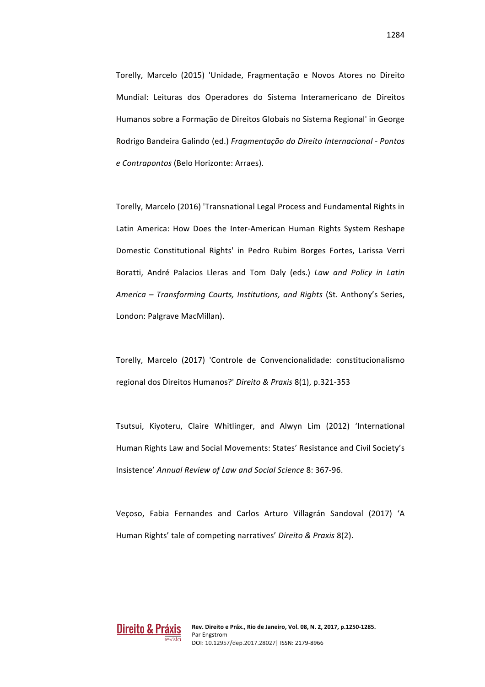Torelly, Marcelo (2015) 'Unidade, Fragmentação e Novos Atores no Direito Mundial: Leituras dos Operadores do Sistema Interamericano de Direitos Humanos sobre a Formação de Direitos Globais no Sistema Regional' in George Rodrigo Bandeira Galindo (ed.) *Fragmentação do Direito Internacional - Pontos e Contrapontos* (Belo Horizonte: Arraes).

Torelly, Marcelo (2016) 'Transnational Legal Process and Fundamental Rights in Latin America: How Does the Inter-American Human Rights System Reshape Domestic Constitutional Rights' in Pedro Rubim Borges Fortes, Larissa Verri Boratti, André Palacios Lleras and Tom Daly (eds.) Law and Policy in Latin *America – Transforming Courts, Institutions, and Rights* (St. Anthony's Series, London: Palgrave MacMillan).

Torelly, Marcelo (2017) 'Controle de Convencionalidade: constitucionalismo regional dos Direitos Humanos?' *Direito & Praxis* 8(1), p.321-353

Tsutsui, Kiyoteru, Claire Whitlinger, and Alwyn Lim (2012) 'International Human Rights Law and Social Movements: States' Resistance and Civil Society's Insistence' *Annual Review of Law and Social Science* 8: 367-96.

Veçoso, Fabia Fernandes and Carlos Arturo Villagrán Sandoval (2017) 'A Human Rights' tale of competing narratives' Direito & Praxis 8(2).